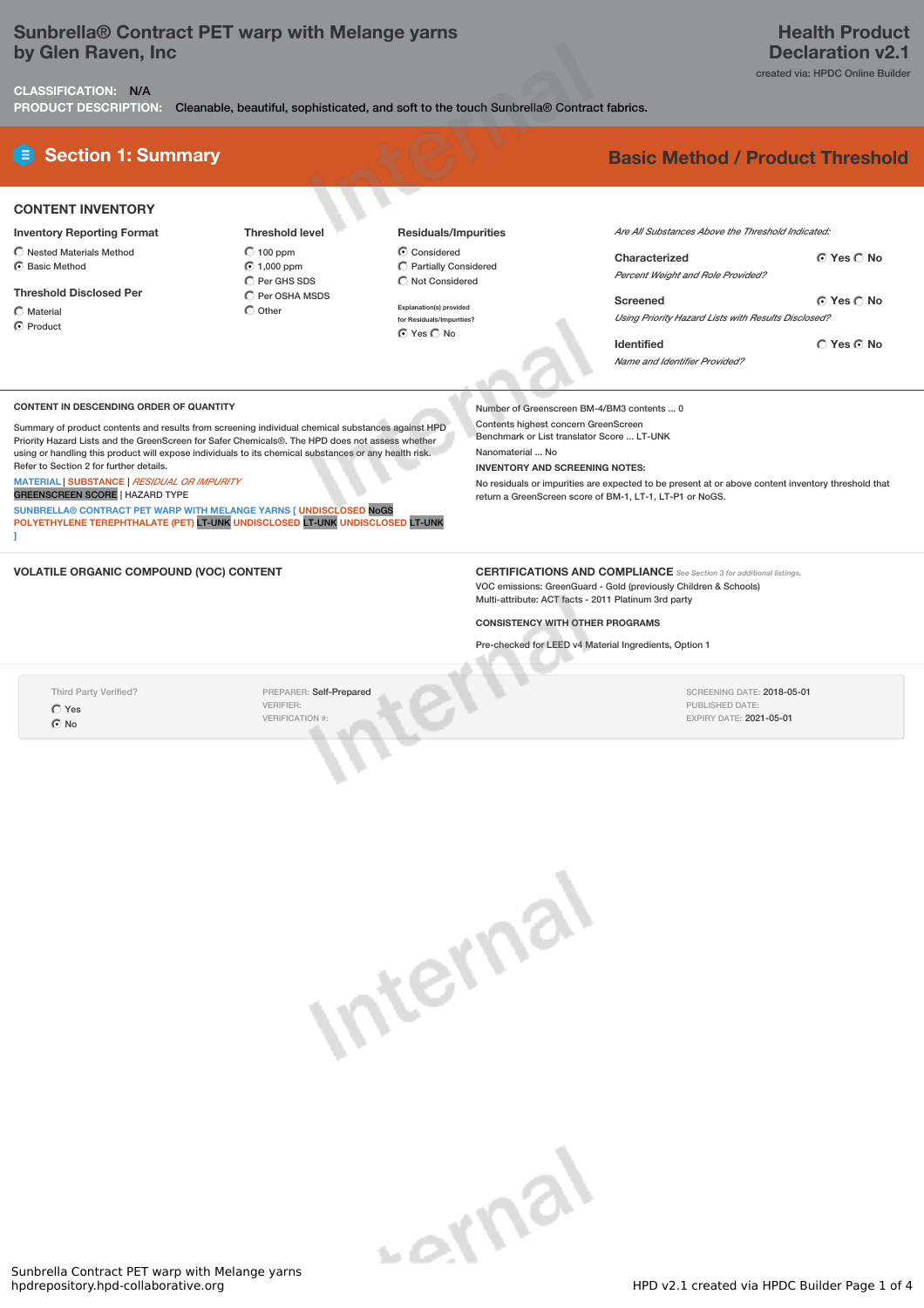## **Sunbrella® Contract PET warp with Melange yarns by Glen Raven, Inc**

created via: HPDC Online Builder

**CLASSIFICATION:** N/A **PRODUCT DESCRIPTION:** Cleanable, beautiful, sophisticated, and soft to the touch Sunbrella® Contract fabrics.

# **E** Section 1: Summary **Basic Method / Product Threshold**

| <b>CONTENT INVENTORY</b> |
|--------------------------|
|                          |

- **Inventory Reporting Format** Nested Materials Method
- Basic Method

**Threshold Disclosed Per**

 $\bigcap$  Material C Product

 $\bigcirc$  100 ppm 1,000 ppm C Per GHS SDS  $\bigcirc$  Per OSHA MSDS  $\bigcirc$  Other

**Threshold level**

- **Residuals/Impurities** Considered
- $\overline{\bigcirc}$  Partially Considered  $\bigcirc$  Not Considered **Explanation(s) provided**

**for Residuals/Impurities?** ⊙ Yes C No

*Are All Substances Above the Threshold Indicated:*

| Characterized                                                   | $\bigcap$ Yes $\bigcap$ No |
|-----------------------------------------------------------------|----------------------------|
| Percent Weight and Role Provided?                               |                            |
| Screened<br>Using Priority Hazard Lists with Results Disclosed? | © Yes ∩ No                 |
| Identified                                                      | ∩ Yes ∩ No                 |
| Name and Identifier Provided?                                   |                            |

#### **CONTENT IN DESCENDING ORDER OF QUANTITY**

Summary of product contents and results from screening individual chemical substances against HPD Priority Hazard Lists and the GreenScreen for Safer Chemicals®. The HPD does not assess whether using or handling this product will expose individuals to its chemical substances or any health risk. Refer to Section 2 for further details.

**MATERIAL** | **SUBSTANCE** | *RESIDUAL OR IMPURITY*

GREENSCREEN SCORE | HAZARD TYPE

**SUNBRELLA® CONTRACT PET WARP WITH MELANGE YARNS [ UNDISCLOSED** NoGS **POLYETHYLENE TEREPHTHALATE (PET)** LT-UNK **UNDISCLOSED** LT-UNK **UNDISCLOSED** LT-UNK **]**

#### Number of Greenscreen BM-4/BM3 contents ... 0

Contents highest concern GreenScreen Benchmark or List translator Score ... LT-UNK Nanomaterial No

**INVENTORY AND SCREENING NOTES:**

No residuals or impurities are expected to be present at or above content inventory threshold that return a GreenScreen score of BM-1, LT-1, LT-P1 or NoGS.

**VOLATILE ORGANIC COMPOUND (VOC) CONTENT CERTIFICATIONS AND COMPLIANCE** *See Section <sup>3</sup> for additional listings.* VOC emissions: GreenGuard - Gold (previously Children & Schools) Multi-attribute: ACT facts - 2011 Platinum 3rd party

#### **CONSISTENCY WITH OTHER PROGRAMS**

Pre-checked for LEED v4 Material Ingredients, Option 1

Third Party Verified?  $O$  Yes No

PREPARER: Self-Prepared VERIFIER: VERIFICATION #:

SCREENING DATE: 2018-05-01 PUBLISHED DATE: EXPIRY DATE: 2021-05-01

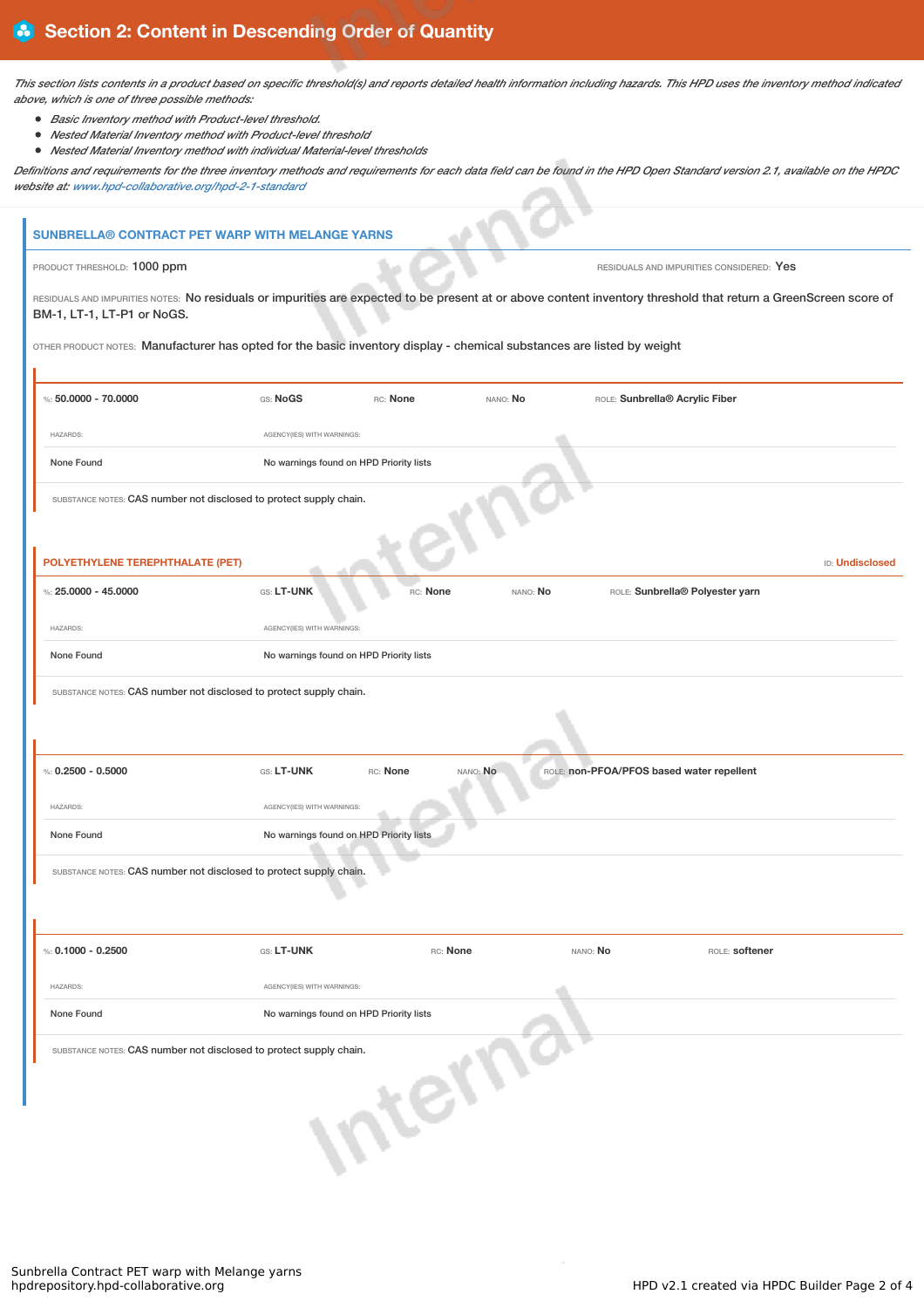This section lists contents in a product based on specific threshold(s) and reports detailed health information including hazards. This HPD uses the inventory method indicated *above, which is one of three possible methods:*

- *Basic Inventory method with Product-level threshold.*
- *Nested Material Inventory method with Product-level threshold*
- *Nested Material Inventory method with individual Material-level thresholds*

Definitions and requirements for the three inventory methods and requirements for each data field can be found in the HPD Open Standard version 2.1, available on the HPDC *website at: www.hpd-collaborative.org/hpd-2-1-standard*  $\sim$ 

| <b>SUNBRELLA® CONTRACT PET WARP WITH MELANGE YARNS</b>                                                                                                                                                                                                                                                                   |                            |                                         |          |                                           |                                          |                        |
|--------------------------------------------------------------------------------------------------------------------------------------------------------------------------------------------------------------------------------------------------------------------------------------------------------------------------|----------------------------|-----------------------------------------|----------|-------------------------------------------|------------------------------------------|------------------------|
| PRODUCT THRESHOLD: 1000 ppm                                                                                                                                                                                                                                                                                              |                            |                                         |          |                                           | RESIDUALS AND IMPURITIES CONSIDERED: Yes |                        |
| RESIDUALS AND IMPURITIES NOTES: No residuals or impurities are expected to be present at or above content inventory threshold that return a GreenScreen score of<br>BM-1, LT-1, LT-P1 or NoGS.<br>OTHER PRODUCT NOTES: Manufacturer has opted for the basic inventory display - chemical substances are listed by weight |                            |                                         |          |                                           |                                          |                        |
| %: $50.0000 - 70.0000$                                                                                                                                                                                                                                                                                                   | GS: NoGS                   | RC: None                                | NANO: No | ROLE: Sunbrella® Acrylic Fiber            |                                          |                        |
|                                                                                                                                                                                                                                                                                                                          |                            |                                         |          |                                           |                                          |                        |
| <b>HAZARDS:</b>                                                                                                                                                                                                                                                                                                          | AGENCY(IES) WITH WARNINGS: |                                         |          |                                           |                                          |                        |
| None Found                                                                                                                                                                                                                                                                                                               |                            | No warnings found on HPD Priority lists |          |                                           |                                          |                        |
| SUBSTANCE NOTES: CAS number not disclosed to protect supply chain.<br>POLYETHYLENE TEREPHTHALATE (PET)                                                                                                                                                                                                                   |                            |                                         |          |                                           |                                          | <b>ID: Undisclosed</b> |
| %: $25.0000 - 45.0000$                                                                                                                                                                                                                                                                                                   | <b>GS: LT-UNK</b>          | RC: None                                | NANO: No |                                           | ROLE: Sunbrella® Polyester yarn          |                        |
| <b>HAZARDS:</b>                                                                                                                                                                                                                                                                                                          | AGENCY(IES) WITH WARNINGS: |                                         |          |                                           |                                          |                        |
| None Found                                                                                                                                                                                                                                                                                                               |                            | No warnings found on HPD Priority lists |          |                                           |                                          |                        |
| SUBSTANCE NOTES: CAS number not disclosed to protect supply chain.                                                                                                                                                                                                                                                       |                            |                                         |          |                                           |                                          |                        |
|                                                                                                                                                                                                                                                                                                                          |                            |                                         |          |                                           |                                          |                        |
| %: $0.2500 - 0.5000$                                                                                                                                                                                                                                                                                                     | GS: LT-UNK                 | RC: None                                | NANO: No | ROLE: non-PFOA/PFOS based water repellent |                                          |                        |
| <b>HAZARDS:</b>                                                                                                                                                                                                                                                                                                          | AGENCY(IES) WITH WARNINGS: |                                         |          |                                           |                                          |                        |
| None Found                                                                                                                                                                                                                                                                                                               |                            | No warnings found on HPD Priority lists |          |                                           |                                          |                        |
| SUBSTANCE NOTES: CAS number not disclosed to protect supply chain.                                                                                                                                                                                                                                                       |                            |                                         |          |                                           |                                          |                        |
| %: $0.1000 - 0.2500$                                                                                                                                                                                                                                                                                                     | GS: LT-UNK                 | RC: None                                |          | NANO: No                                  | ROLE: softener                           |                        |
| <b>HAZARDS:</b>                                                                                                                                                                                                                                                                                                          | AGENCY(IES) WITH WARNINGS: |                                         |          |                                           |                                          |                        |
| None Found                                                                                                                                                                                                                                                                                                               |                            | No warnings found on HPD Priority lists |          |                                           |                                          |                        |
| SUBSTANCE NOTES: CAS number not disclosed to protect supply chain.                                                                                                                                                                                                                                                       |                            | terr                                    |          |                                           |                                          |                        |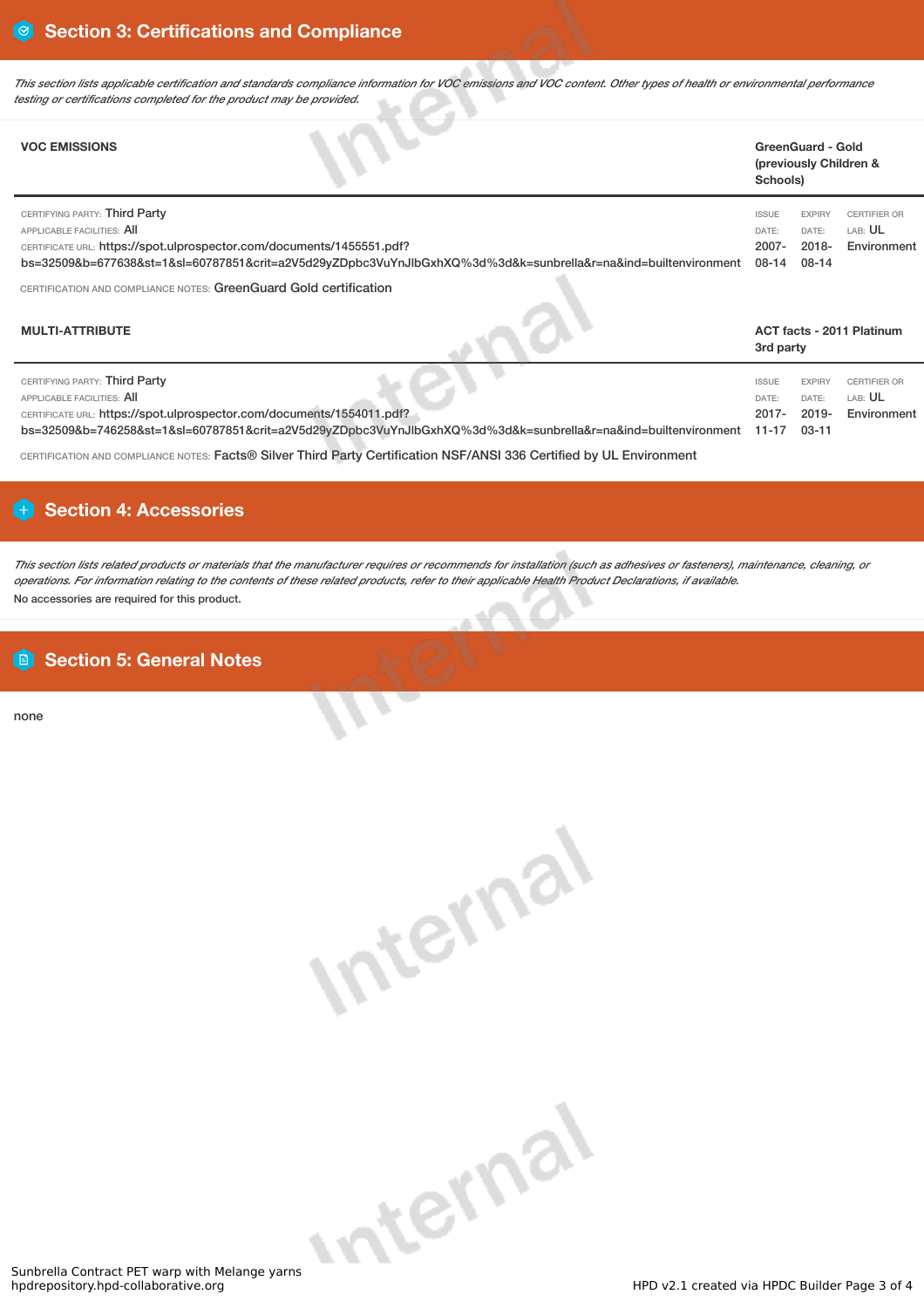This section lists applicable certification and standards compliance information for VOC emissions and VOC content. Other types of health or environmental performance *testing or certifications completed for the product may be provided.*

| <b>VOC EMISSIONS</b>                                                                                                                 |                                                                                                                | Schools)                                   | <b>GreenGuard - Gold</b><br>(previously Children & |                                               |
|--------------------------------------------------------------------------------------------------------------------------------------|----------------------------------------------------------------------------------------------------------------|--------------------------------------------|----------------------------------------------------|-----------------------------------------------|
| CERTIFYING PARTY: Third Party<br>APPLICABLE FACILITIES: All<br>CERTIFICATE URL: https://spot.ulprospector.com/documents/1455551.pdf? | bs=32509&b=677638&st=1&sl=60787851&crit=a2V5d29yZDpbc3VuYnJlbGxhXQ%3d%3d&k=sunbrella&r=na&ind=builtenvironment | <b>ISSUE</b><br>DATE:<br>$2007 -$<br>08-14 | <b>EXPIRY</b><br>DATE:<br>$2018 -$<br>08-14        | <b>CERTIFIER OR</b><br>LAB: UL<br>Environment |
| CERTIFICATION AND COMPLIANCE NOTES: GreenGuard Gold certification                                                                    |                                                                                                                |                                            |                                                    |                                               |
| <b>MULTI-ATTRIBUTE</b>                                                                                                               |                                                                                                                |                                            |                                                    | <b>ACT facts - 2011 Platinum</b>              |

|                                                                                                                                                                                         | 3rd party               |                        |                         |
|-----------------------------------------------------------------------------------------------------------------------------------------------------------------------------------------|-------------------------|------------------------|-------------------------|
| CERTIFYING PARTY: Third Party<br>APPLICABLE FACILITIES: AII                                                                                                                             | <b>ISSUE</b><br>DATE:   | <b>EXPIRY</b><br>DATE: | CERTIFIER OR<br>LAB: UL |
| CERTIFICATE URL: https://spot.ulprospector.com/documents/1554011.pdf?<br>bs=32509&b=746258&st=1&sl=60787851&crit=a2V5d29yZDpbc3VuYnJlbGxhXQ%3d%3d&k=sunbrella&r=na&ind=builtenvironment | $2017 -$<br>11-17 03-11 | $2019 -$               | Environment             |

CERTIFICATION AND COMPLIANCE NOTES: Facts® Silver Third Party Certification NSF/ANSI 336 Certified by UL Environment

## **Section 4: Accessories**

This section lists related products or materials that the manufacturer requires or recommends for installation (such as adhesives or fasteners), maintenance, cleaning, or operations. For information relating to the contents of these related products, refer to their applicable Health Product Declarations, if available. No accessories are required for this product.

## **Section 5: General Notes**

none

| arns |  |
|------|--|